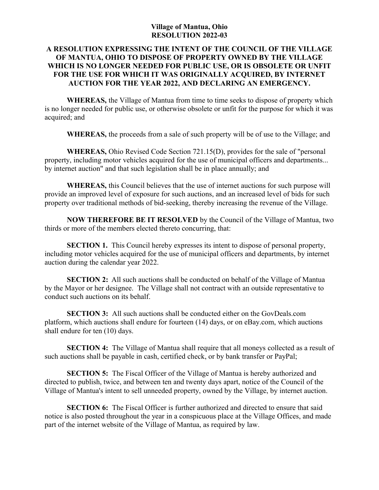## **Village of Mantua, Ohio RESOLUTION 2022-03**

## **A RESOLUTION EXPRESSING THE INTENT OF THE COUNCIL OF THE VILLAGE OF MANTUA, OHIO TO DISPOSE OF PROPERTY OWNED BY THE VILLAGE WHICH IS NO LONGER NEEDED FOR PUBLIC USE, OR IS OBSOLETE OR UNFIT FOR THE USE FOR WHICH IT WAS ORIGINALLY ACQUIRED, BY INTERNET AUCTION FOR THE YEAR 2022, AND DECLARING AN EMERGENCY.**

**WHEREAS,** the Village of Mantua from time to time seeks to dispose of property which is no longer needed for public use, or otherwise obsolete or unfit for the purpose for which it was acquired; and

**WHEREAS,** the proceeds from a sale of such property will be of use to the Village; and

**WHEREAS,** Ohio Revised Code Section 721.15(D), provides for the sale of "personal property, including motor vehicles acquired for the use of municipal officers and departments... by internet auction" and that such legislation shall be in place annually; and

**WHEREAS,** this Council believes that the use of internet auctions for such purpose will provide an improved level of exposure for such auctions, and an increased level of bids for such property over traditional methods of bid-seeking, thereby increasing the revenue of the Village.

**NOW THEREFORE BE IT RESOLVED** by the Council of the Village of Mantua, two thirds or more of the members elected thereto concurring, that:

**SECTION 1.** This Council hereby expresses its intent to dispose of personal property, including motor vehicles acquired for the use of municipal officers and departments, by internet auction during the calendar year 2022.

**SECTION 2:** All such auctions shall be conducted on behalf of the Village of Mantua by the Mayor or her designee. The Village shall not contract with an outside representative to conduct such auctions on its behalf.

**SECTION 3:** All such auctions shall be conducted either on the GovDeals.com platform, which auctions shall endure for fourteen (14) days, or on eBay.com, which auctions shall endure for ten (10) days.

**SECTION 4:** The Village of Mantua shall require that all moneys collected as a result of such auctions shall be payable in cash, certified check, or by bank transfer or PayPal;

**SECTION 5:** The Fiscal Officer of the Village of Mantua is hereby authorized and directed to publish, twice, and between ten and twenty days apart, notice of the Council of the Village of Mantua's intent to sell unneeded property, owned by the Village, by internet auction.

**SECTION 6:** The Fiscal Officer is further authorized and directed to ensure that said notice is also posted throughout the year in a conspicuous place at the Village Offices, and made part of the internet website of the Village of Mantua, as required by law.